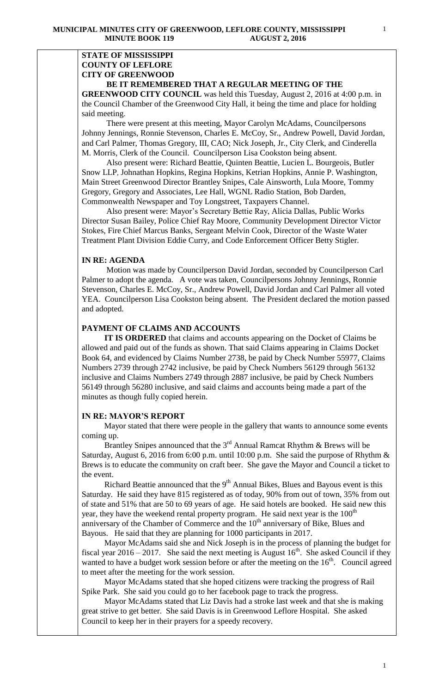### **STATE OF MISSISSIPPI COUNTY OF LEFLORE CITY OF GREENWOOD BE IT REMEMBERED THAT A REGULAR MEETING OF THE**

**GREENWOOD CITY COUNCIL** was held this Tuesday, August 2, 2016 at 4:00 p.m. in the Council Chamber of the Greenwood City Hall, it being the time and place for holding said meeting.

There were present at this meeting, Mayor Carolyn McAdams, Councilpersons Johnny Jennings, Ronnie Stevenson, Charles E. McCoy, Sr., Andrew Powell, David Jordan, and Carl Palmer, Thomas Gregory, III, CAO; Nick Joseph, Jr., City Clerk, and Cinderella M. Morris, Clerk of the Council. Councilperson Lisa Cookston being absent.

 Also present were: Richard Beattie, Quinten Beattie, Lucien L. Bourgeois, [Butler](http://www.butlersnow.com/)  [Snow LLP](http://www.butlersnow.com/), Johnathan Hopkins, Regina Hopkins, Ketrian Hopkins, Annie P. Washington, Main Street Greenwood Director Brantley Snipes, Cale Ainsworth, Lula Moore, Tommy Gregory, Gregory and Associates, Lee Hall, WGNL Radio Station, Bob Darden, Commonwealth Newspaper and Toy Longstreet, Taxpayers Channel.

 Also present were: Mayor's Secretary Bettie Ray, Alicia Dallas, Public Works Director Susan Bailey, Police Chief Ray Moore, Community Development Director Victor Stokes, Fire Chief Marcus Banks, Sergeant Melvin Cook, Director of the Waste Water Treatment Plant Division Eddie Curry, and Code Enforcement Officer Betty Stigler.

### **IN RE: AGENDA**

 Motion was made by Councilperson David Jordan, seconded by Councilperson Carl Palmer to adopt the agenda. A vote was taken, Councilpersons Johnny Jennings, Ronnie Stevenson, Charles E. McCoy, Sr., Andrew Powell, David Jordan and Carl Palmer all voted YEA. Councilperson Lisa Cookston being absent. The President declared the motion passed and adopted.

#### **PAYMENT OF CLAIMS AND ACCOUNTS**

 **IT IS ORDERED** that claims and accounts appearing on the Docket of Claims be allowed and paid out of the funds as shown. That said Claims appearing in Claims Docket Book 64, and evidenced by Claims Number 2738, be paid by Check Number 55977, Claims Numbers 2739 through 2742 inclusive, be paid by Check Numbers 56129 through 56132 inclusive and Claims Numbers 2749 through 2887 inclusive, be paid by Check Numbers 56149 through 56280 inclusive, and said claims and accounts being made a part of the minutes as though fully copied herein.

### **IN RE: MAYOR'S REPORT**

 Mayor stated that there were people in the gallery that wants to announce some events coming up.

Brantley Snipes announced that the  $3<sup>rd</sup>$  Annual Ramcat Rhythm & Brews will be Saturday, August 6, 2016 from 6:00 p.m. until 10:00 p.m. She said the purpose of Rhythm & Brews is to educate the community on craft beer. She gave the Mayor and Council a ticket to the event.

Richard Beattie announced that the  $9<sup>th</sup>$  Annual Bikes, Blues and Bayous event is this Saturday. He said they have 815 registered as of today, 90% from out of town, 35% from out of state and 51% that are 50 to 69 years of age. He said hotels are booked. He said new this year, they have the weekend rental property program. He said next year is the  $100<sup>th</sup>$ anniversary of the Chamber of Commerce and the  $10<sup>th</sup>$  anniversary of Bike, Blues and Bayous. He said that they are planning for 1000 participants in 2017.

 Mayor McAdams said she and Nick Joseph is in the process of planning the budget for fiscal year  $2016 - 2017$ . She said the next meeting is August  $16<sup>th</sup>$ . She asked Council if they wanted to have a budget work session before or after the meeting on the  $16<sup>th</sup>$ . Council agreed to meet after the meeting for the work session.

 Mayor McAdams stated that she hoped citizens were tracking the progress of Rail Spike Park. She said you could go to her facebook page to track the progress.

 Mayor McAdams stated that Liz Davis had a stroke last week and that she is making great strive to get better. She said Davis is in Greenwood Leflore Hospital. She asked Council to keep her in their prayers for a speedy recovery.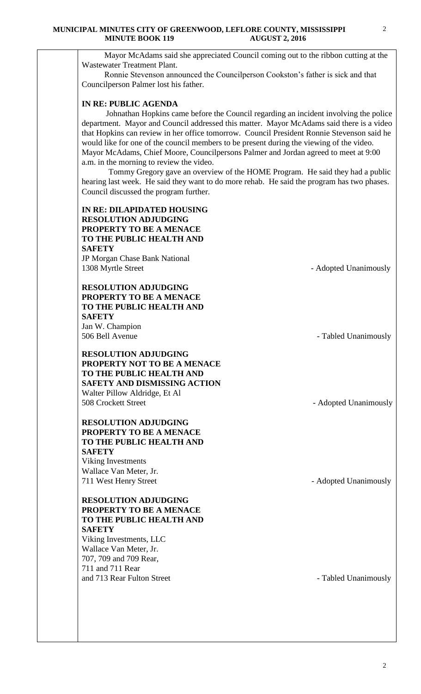Mayor McAdams said she appreciated Council coming out to the ribbon cutting at the Wastewater Treatment Plant.

 Ronnie Stevenson announced the Councilperson Cookston's father is sick and that Councilperson Palmer lost his father.

## **IN RE: PUBLIC AGENDA**

 Johnathan Hopkins came before the Council regarding an incident involving the police department. Mayor and Council addressed this matter. Mayor McAdams said there is a video that Hopkins can review in her office tomorrow. Council President Ronnie Stevenson said he would like for one of the council members to be present during the viewing of the video. Mayor McAdams, Chief Moore, Councilpersons Palmer and Jordan agreed to meet at 9:00 a.m. in the morning to review the video.

 Tommy Gregory gave an overview of the HOME Program. He said they had a public hearing last week. He said they want to do more rehab. He said the program has two phases. Council discussed the program further.

**IN RE: DILAPIDATED HOUSING RESOLUTION ADJUDGING PROPERTY TO BE A MENACE TO THE PUBLIC HEALTH AND SAFETY**  JP Morgan Chase Bank National

**RESOLUTION ADJUDGING PROPERTY TO BE A MENACE TO THE PUBLIC HEALTH AND SAFETY** Jan W. Champion 506 Bell Avenue **- Tabled Unanimously** 

**RESOLUTION ADJUDGING PROPERTY NOT TO BE A MENACE TO THE PUBLIC HEALTH AND SAFETY AND DISMISSING ACTION** Walter Pillow Aldridge, Et Al 508 Crockett Street **- Adopted Unanimously** 

**RESOLUTION ADJUDGING PROPERTY TO BE A MENACE TO THE PUBLIC HEALTH AND SAFETY** Viking Investments Wallace Van Meter, Jr.

**RESOLUTION ADJUDGING PROPERTY TO BE A MENACE TO THE PUBLIC HEALTH AND SAFETY** Viking Investments, LLC

Wallace Van Meter, Jr. 707, 709 and 709 Rear, 711 and 711 Rear and 713 Rear Fulton Street **and 713 Rear Fulton Street** - Tabled Unanimously

1308 Myrtle Street - Adopted Unanimously

711 West Henry Street **- Adopted Unanimously**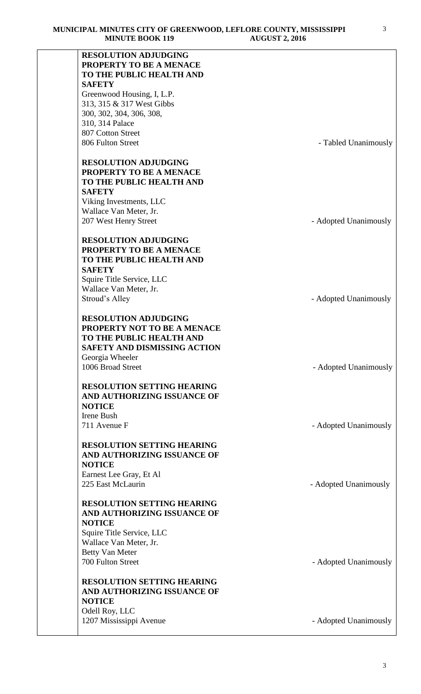|               | <b>RESOLUTION ADJUDGING</b>         |                       |
|---------------|-------------------------------------|-----------------------|
|               | PROPERTY TO BE A MENACE             |                       |
|               | TO THE PUBLIC HEALTH AND            |                       |
| <b>SAFETY</b> |                                     |                       |
|               | Greenwood Housing, I, L.P.          |                       |
|               | 313, 315 & 317 West Gibbs           |                       |
|               | 300, 302, 304, 306, 308,            |                       |
|               | 310, 314 Palace                     |                       |
|               | 807 Cotton Street                   |                       |
|               | 806 Fulton Street                   | - Tabled Unanimously  |
|               |                                     |                       |
|               | <b>RESOLUTION ADJUDGING</b>         |                       |
|               | PROPERTY TO BE A MENACE             |                       |
|               | TO THE PUBLIC HEALTH AND            |                       |
| <b>SAFETY</b> |                                     |                       |
|               | Viking Investments, LLC             |                       |
|               | Wallace Van Meter, Jr.              |                       |
|               | 207 West Henry Street               | - Adopted Unanimously |
|               |                                     |                       |
|               | <b>RESOLUTION ADJUDGING</b>         |                       |
|               | PROPERTY TO BE A MENACE             |                       |
|               | TO THE PUBLIC HEALTH AND            |                       |
| <b>SAFETY</b> |                                     |                       |
|               | Squire Title Service, LLC           |                       |
|               | Wallace Van Meter, Jr.              |                       |
|               | Stroud's Alley                      | - Adopted Unanimously |
|               |                                     |                       |
|               | <b>RESOLUTION ADJUDGING</b>         |                       |
|               | PROPERTY NOT TO BE A MENACE         |                       |
|               | TO THE PUBLIC HEALTH AND            |                       |
|               | <b>SAFETY AND DISMISSING ACTION</b> |                       |
|               | Georgia Wheeler                     |                       |
|               | 1006 Broad Street                   | - Adopted Unanimously |
|               |                                     |                       |
|               | <b>RESOLUTION SETTING HEARING</b>   |                       |
|               | AND AUTHORIZING ISSUANCE OF         |                       |
| <b>NOTICE</b> |                                     |                       |
| Irene Bush    |                                     |                       |
|               | 711 Avenue F                        | - Adopted Unanimously |
|               |                                     |                       |
|               | <b>RESOLUTION SETTING HEARING</b>   |                       |
|               | AND AUTHORIZING ISSUANCE OF         |                       |
| <b>NOTICE</b> |                                     |                       |
|               | Earnest Lee Gray, Et Al             |                       |
|               | 225 East McLaurin                   | - Adopted Unanimously |
|               |                                     |                       |
|               | <b>RESOLUTION SETTING HEARING</b>   |                       |
|               | AND AUTHORIZING ISSUANCE OF         |                       |
| <b>NOTICE</b> |                                     |                       |
|               | Squire Title Service, LLC           |                       |
|               | Wallace Van Meter, Jr.              |                       |
|               | <b>Betty Van Meter</b>              |                       |
|               | 700 Fulton Street                   | - Adopted Unanimously |
|               | <b>RESOLUTION SETTING HEARING</b>   |                       |
|               | AND AUTHORIZING ISSUANCE OF         |                       |
| <b>NOTICE</b> |                                     |                       |
|               | Odell Roy, LLC                      |                       |
|               | 1207 Mississippi Avenue             | - Adopted Unanimously |
|               |                                     |                       |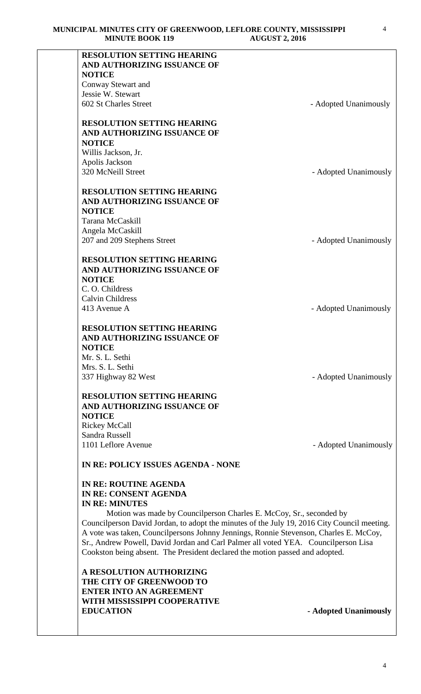| MINUTE DUUN 117                                                              | AUGUST <i>4</i> , 2010                                                                      |
|------------------------------------------------------------------------------|---------------------------------------------------------------------------------------------|
| <b>RESOLUTION SETTING HEARING</b>                                            |                                                                                             |
| AND AUTHORIZING ISSUANCE OF                                                  |                                                                                             |
| <b>NOTICE</b>                                                                |                                                                                             |
| Conway Stewart and                                                           |                                                                                             |
| Jessie W. Stewart                                                            |                                                                                             |
| 602 St Charles Street                                                        | - Adopted Unanimously                                                                       |
|                                                                              |                                                                                             |
| <b>RESOLUTION SETTING HEARING</b>                                            |                                                                                             |
| AND AUTHORIZING ISSUANCE OF                                                  |                                                                                             |
| <b>NOTICE</b>                                                                |                                                                                             |
| Willis Jackson, Jr.                                                          |                                                                                             |
| Apolis Jackson                                                               |                                                                                             |
| 320 McNeill Street                                                           | - Adopted Unanimously                                                                       |
|                                                                              |                                                                                             |
| <b>RESOLUTION SETTING HEARING</b>                                            |                                                                                             |
| AND AUTHORIZING ISSUANCE OF                                                  |                                                                                             |
| <b>NOTICE</b>                                                                |                                                                                             |
| Tarana McCaskill                                                             |                                                                                             |
| Angela McCaskill                                                             |                                                                                             |
|                                                                              |                                                                                             |
| 207 and 209 Stephens Street                                                  | - Adopted Unanimously                                                                       |
| <b>RESOLUTION SETTING HEARING</b>                                            |                                                                                             |
| AND AUTHORIZING ISSUANCE OF                                                  |                                                                                             |
| <b>NOTICE</b>                                                                |                                                                                             |
| C. O. Childress                                                              |                                                                                             |
| <b>Calvin Childress</b>                                                      |                                                                                             |
| 413 Avenue A                                                                 |                                                                                             |
|                                                                              | - Adopted Unanimously                                                                       |
| <b>RESOLUTION SETTING HEARING</b>                                            |                                                                                             |
| AND AUTHORIZING ISSUANCE OF                                                  |                                                                                             |
| <b>NOTICE</b>                                                                |                                                                                             |
| Mr. S. L. Sethi                                                              |                                                                                             |
| Mrs. S. L. Sethi                                                             |                                                                                             |
| 337 Highway 82 West                                                          | - Adopted Unanimously                                                                       |
|                                                                              |                                                                                             |
| <b>RESOLUTION SETTING HEARING</b>                                            |                                                                                             |
| AND AUTHORIZING ISSUANCE OF                                                  |                                                                                             |
| <b>NOTICE</b>                                                                |                                                                                             |
| <b>Rickey McCall</b>                                                         |                                                                                             |
| Sandra Russell                                                               |                                                                                             |
| 1101 Leflore Avenue                                                          | - Adopted Unanimously                                                                       |
|                                                                              |                                                                                             |
| IN RE: POLICY ISSUES AGENDA - NONE                                           |                                                                                             |
| IN RE: ROUTINE AGENDA                                                        |                                                                                             |
| IN RE: CONSENT AGENDA                                                        |                                                                                             |
|                                                                              |                                                                                             |
| <b>IN RE: MINUTES</b>                                                        |                                                                                             |
|                                                                              | Motion was made by Councilperson Charles E. McCoy, Sr., seconded by                         |
|                                                                              | Councilperson David Jordan, to adopt the minutes of the July 19, 2016 City Council meeting. |
|                                                                              | A vote was taken, Councilpersons Johnny Jennings, Ronnie Stevenson, Charles E. McCoy,       |
|                                                                              | Sr., Andrew Powell, David Jordan and Carl Palmer all voted YEA. Councilperson Lisa          |
| Cookston being absent. The President declared the motion passed and adopted. |                                                                                             |
|                                                                              |                                                                                             |
| A RESOLUTION AUTHORIZING                                                     |                                                                                             |
| THE CITY OF GREENWOOD TO                                                     |                                                                                             |

**ENTER INTO AN AGREEMENT WITH MISSISSIPPI COOPERATIVE EDUCATION - Adopted Unanimously**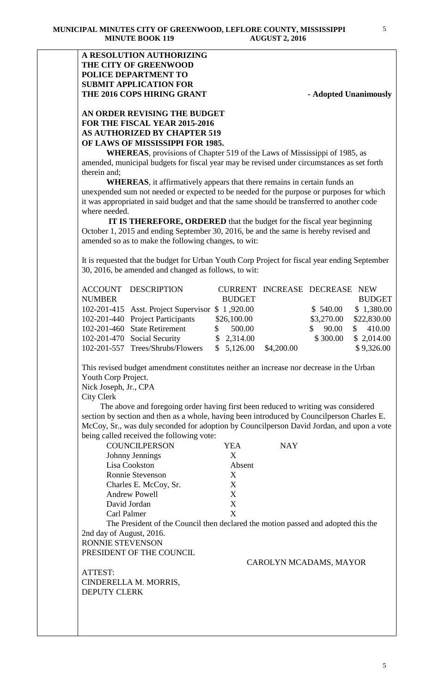## **A RESOLUTION AUTHORIZING THE CITY OF GREENWOOD POLICE DEPARTMENT TO SUBMIT APPLICATION FOR**  THE 2016 COPS HIRING GRANT - **Adopted Unanimously**

## **AN ORDER REVISING THE BUDGET FOR THE FISCAL YEAR 2015-2016 AS AUTHORIZED BY CHAPTER 519 OF LAWS OF MISSISSIPPI FOR 1985.**

**WHEREAS**, provisions of Chapter 519 of the Laws of Mississippi of 1985, as amended, municipal budgets for fiscal year may be revised under circumstances as set forth therein and;

**WHEREAS**, it affirmatively appears that there remains in certain funds an unexpended sum not needed or expected to be needed for the purpose or purposes for which it was appropriated in said budget and that the same should be transferred to another code where needed.

 **IT IS THEREFORE, ORDERED** that the budget for the fiscal year beginning October 1, 2015 and ending September 30, 2016, be and the same is hereby revised and amended so as to make the following changes, to wit:

It is requested that the budget for Urban Youth Corp Project for fiscal year ending September 30, 2016, be amended and changed as follows, to wit:

|               | <b>ACCOUNT DESCRIPTION</b>                       |               |            | CURRENT INCREASE DECREASE NEW |               |
|---------------|--------------------------------------------------|---------------|------------|-------------------------------|---------------|
| <b>NUMBER</b> |                                                  | <b>BUDGET</b> |            |                               | <b>BUDGET</b> |
|               | 102-201-415 Asst. Project Supervisor \$ 1,920.00 |               |            | \$540.00                      | \$1,380.00    |
|               | 102-201-440 Project Participants                 | \$26,100.00   |            | \$3,270.00                    | \$22,830.00   |
|               | 102-201-460 State Retirement                     | 500.00        |            | 90.00                         | \$410.00      |
|               | 102-201-470 Social Security                      | \$2,314.00    |            | \$300.00                      | \$2,014.00    |
|               | 102-201-557 Trees/Shrubs/Flowers                 | \$5,126.00    | \$4,200.00 |                               | \$9,326.00    |

This revised budget amendment constitutes neither an increase nor decrease in the Urban Youth Corp Project.

Nick Joseph, Jr., CPA

City Clerk

 The above and foregoing order having first been reduced to writing was considered section by section and then as a whole, having been introduced by Councilperson Charles E. McCoy, Sr., was duly seconded for adoption by Councilperson David Jordan, and upon a vote being called received the following vote:

| <b>COUNCILPERSON</b>  | YEA    | NAY |
|-----------------------|--------|-----|
| Johnny Jennings       | X      |     |
| Lisa Cookston         | Absent |     |
| Ronnie Stevenson      | X      |     |
| Charles E. McCoy, Sr. | X      |     |
| <b>Andrew Powell</b>  | X      |     |
| David Jordan          | X      |     |
| Carl Palmer           | x      |     |

The President of the Council then declared the motion passed and adopted this the 2nd day of August, 2016.

RONNIE STEVENSON PRESIDENT OF THE COUNCIL

ATTEST: CINDERELLA M. MORRIS, DEPUTY CLERK

CAROLYN MCADAMS, MAYOR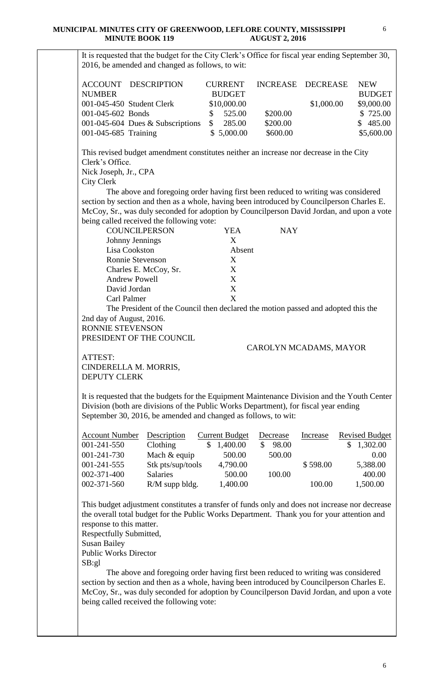It is requested that the budget for the City Clerk's Office for fiscal year ending September 30, 2016, be amended and changed as follows, to wit: ACCOUNT DESCRIPTION CURRENT INCREASE DECREASE NEW NUMBER BUDGET BUDGET 001-045-450 Student Clerk \$10,000.00 \$1,000.00 \$9,000.00 001-045-602 Bonds \$ 525.00 \$200.00 \$ 725.00 001-045-604 Dues & Subscriptions \$ 285.00 \$200.00 \$ 485.00 001-045-685 Training \$ 5,000.00 \$600.00 \$5,600.00 This revised budget amendment constitutes neither an increase nor decrease in the City Clerk's Office. Nick Joseph, Jr., CPA City Clerk The above and foregoing order having first been reduced to writing was considered section by section and then as a whole, having been introduced by Councilperson Charles E. McCoy, Sr., was duly seconded for adoption by Councilperson David Jordan, and upon a vote being called received the following vote: COUNCILPERSON YEA NAY Johnny Jennings X Lisa Cookston Absent Ronnie Stevenson X Charles E. McCoy, Sr. X Andrew Powell X David Jordan X Carl Palmer X The President of the Council then declared the motion passed and adopted this the 2nd day of August, 2016. RONNIE STEVENSON PRESIDENT OF THE COUNCIL CAROLYN MCADAMS, MAYOR ATTEST: CINDERELLA M. MORRIS, DEPUTY CLERK It is requested that the budgets for the Equipment Maintenance Division and the Youth Center Division (both are divisions of the Public Works Department), for fiscal year ending September 30, 2016, be amended and changed as follows, to wit: Account Number Description Current Budget Decrease Increase Revised Budget 001-241-550 Clothing \$ 1,400.00 \$ 98.00 \$ 1,302.00 001-241-730 Mach & equip 500.00 500.00 0.00 001-241-555 Stk pts/sup/tools 4,790.00 \$ 598.00 5,388.00 002-371-400 Salaries 500.00 100.00 400.00 002-371-560 R/M supp bldg. 1,400.00 100.00 1,500.00 This budget adjustment constitutes a transfer of funds only and does not increase nor decrease the overall total budget for the Public Works Department. Thank you for your attention and response to this matter. Respectfully Submitted, Susan Bailey Public Works Director SB:gl The above and foregoing order having first been reduced to writing was considered section by section and then as a whole, having been introduced by Councilperson Charles E. McCoy, Sr., was duly seconded for adoption by Councilperson David Jordan, and upon a vote being called received the following vote: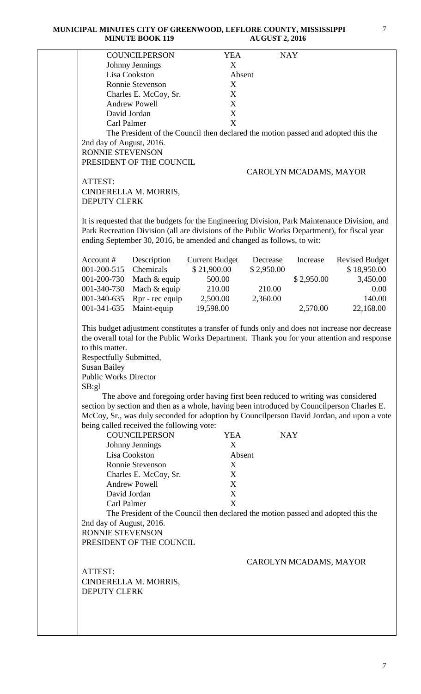#### **MUNICIPAL MINUTES CITY OF GREENWOOD, LEFLORE COUNTY, MISSISSIPPI MINUTE BOOK 119**

| <b>COUNCILPERSON</b>                                                                                                                                                                                                                                                   |                       | <b>YEA</b>            |            | <b>NAY</b>                                                                        |                       |
|------------------------------------------------------------------------------------------------------------------------------------------------------------------------------------------------------------------------------------------------------------------------|-----------------------|-----------------------|------------|-----------------------------------------------------------------------------------|-----------------------|
| Johnny Jennings<br>Lisa Cookston                                                                                                                                                                                                                                       |                       | X                     |            |                                                                                   |                       |
| Ronnie Stevenson                                                                                                                                                                                                                                                       |                       | X                     | Absent     |                                                                                   |                       |
|                                                                                                                                                                                                                                                                        | Charles E. McCoy, Sr. | X                     |            |                                                                                   |                       |
| <b>Andrew Powell</b>                                                                                                                                                                                                                                                   |                       | X                     |            |                                                                                   |                       |
| David Jordan                                                                                                                                                                                                                                                           |                       | X                     |            |                                                                                   |                       |
|                                                                                                                                                                                                                                                                        |                       | X                     |            |                                                                                   |                       |
| Carl Palmer                                                                                                                                                                                                                                                            |                       |                       |            |                                                                                   |                       |
| 2nd day of August, 2016.<br>RONNIE STEVENSON<br>PRESIDENT OF THE COUNCIL                                                                                                                                                                                               |                       |                       |            | The President of the Council then declared the motion passed and adopted this the |                       |
|                                                                                                                                                                                                                                                                        |                       |                       |            | CAROLYN MCADAMS, MAYOR                                                            |                       |
| ATTEST:<br>CINDERELLA M. MORRIS,<br><b>DEPUTY CLERK</b>                                                                                                                                                                                                                |                       |                       |            |                                                                                   |                       |
| It is requested that the budgets for the Engineering Division, Park Maintenance Division, and<br>Park Recreation Division (all are divisions of the Public Works Department), for fiscal year<br>ending September 30, 2016, be amended and changed as follows, to wit: |                       |                       |            |                                                                                   |                       |
| $Account$ #                                                                                                                                                                                                                                                            | Description           | <b>Current Budget</b> | Decrease   | <b>Increase</b>                                                                   | <b>Revised Budget</b> |
| 001-200-515                                                                                                                                                                                                                                                            | Chemicals             | \$21,900.00           | \$2,950.00 |                                                                                   | \$18,950.00           |
| 001-200-730                                                                                                                                                                                                                                                            | Mach & equip          | 500.00                |            | \$2,950.00                                                                        | 3,450.00              |
| 001-340-730                                                                                                                                                                                                                                                            | Mach & equip          | 210.00                | 210.00     |                                                                                   | 0.00                  |
| 001-340-635                                                                                                                                                                                                                                                            | Rpr - rec equip       | 2,500.00              | 2,360.00   |                                                                                   | 140.00                |
| 001-341-635                                                                                                                                                                                                                                                            | Maint-equip           | 19,598.00             |            | 2,570.00                                                                          | 22,168.00             |
| the overall total for the Public Works Department. Thank you for your attention and response<br>to this matter.<br>Respectfully Submitted,<br><b>Susan Bailey</b><br><b>Public Works Director</b><br>SB:gl                                                             |                       |                       |            |                                                                                   |                       |
| section by section and then as a whole, having been introduced by Councilperson Charles E.<br>McCoy, Sr., was duly seconded for adoption by Councilperson David Jordan, and upon a vote<br>being called received the following vote:                                   |                       |                       |            | The above and foregoing order having first been reduced to writing was considered |                       |
| <b>COUNCILPERSON</b>                                                                                                                                                                                                                                                   |                       |                       | YEA        | <b>NAY</b>                                                                        |                       |
| Johnny Jennings                                                                                                                                                                                                                                                        |                       | X                     |            |                                                                                   |                       |
| Lisa Cookston                                                                                                                                                                                                                                                          |                       |                       | Absent     |                                                                                   |                       |
| Ronnie Stevenson                                                                                                                                                                                                                                                       |                       | X                     |            |                                                                                   |                       |
|                                                                                                                                                                                                                                                                        | Charles E. McCoy, Sr. | X                     |            |                                                                                   |                       |
| <b>Andrew Powell</b>                                                                                                                                                                                                                                                   |                       | X                     |            |                                                                                   |                       |
| David Jordan                                                                                                                                                                                                                                                           |                       | X                     |            |                                                                                   |                       |
| Carl Palmer                                                                                                                                                                                                                                                            |                       | X                     |            |                                                                                   |                       |
|                                                                                                                                                                                                                                                                        |                       |                       |            | The President of the Council then declared the motion passed and adopted this the |                       |
| 2nd day of August, 2016.                                                                                                                                                                                                                                               |                       |                       |            |                                                                                   |                       |
| RONNIE STEVENSON<br>PRESIDENT OF THE COUNCIL                                                                                                                                                                                                                           |                       |                       |            |                                                                                   |                       |
|                                                                                                                                                                                                                                                                        |                       |                       |            |                                                                                   |                       |
| ATTEST:                                                                                                                                                                                                                                                                |                       |                       |            | CAROLYN MCADAMS, MAYOR                                                            |                       |
| CINDERELLA M. MORRIS,<br><b>DEPUTY CLERK</b>                                                                                                                                                                                                                           |                       |                       |            |                                                                                   |                       |
|                                                                                                                                                                                                                                                                        |                       |                       |            |                                                                                   |                       |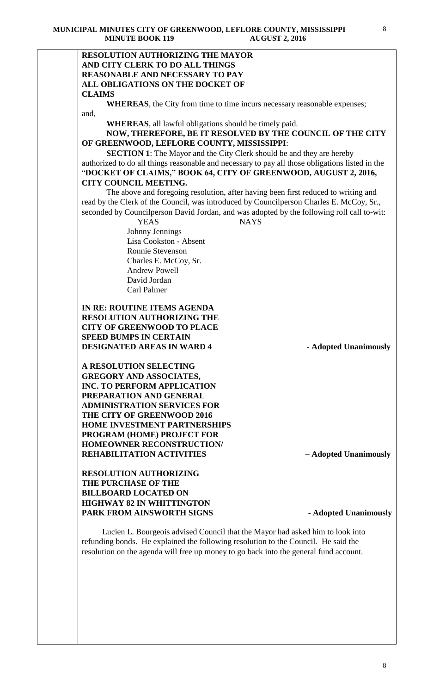### **RESOLUTION AUTHORIZING THE MAYOR AND CITY CLERK TO DO ALL THINGS REASONABLE AND NECESSARY TO PAY ALL OBLIGATIONS ON THE DOCKET OF CLAIMS**

**WHEREAS**, the City from time to time incurs necessary reasonable expenses; and,

**WHEREAS**, all lawful obligations should be timely paid.

## **NOW, THEREFORE, BE IT RESOLVED BY THE COUNCIL OF THE CITY OF GREENWOOD, LEFLORE COUNTY, MISSISSIPPI**:

**SECTION 1**: The Mayor and the City Clerk should be and they are hereby authorized to do all things reasonable and necessary to pay all those obligations listed in the "**DOCKET OF CLAIMS," BOOK 64, CITY OF GREENWOOD, AUGUST 2, 2016, CITY COUNCIL MEETING.**

The above and foregoing resolution, after having been first reduced to writing and read by the Clerk of the Council, was introduced by Councilperson Charles E. McCoy, Sr., seconded by Councilperson David Jordan, and was adopted by the following roll call to-wit:

> YEAS NAYS Johnny Jennings Lisa Cookston - Absent Ronnie Stevenson Charles E. McCoy, Sr. Andrew Powell David Jordan Carl Palmer

**IN RE: ROUTINE ITEMS AGENDA RESOLUTION AUTHORIZING THE CITY OF GREENWOOD TO PLACE SPEED BUMPS IN CERTAIN DESIGNATED AREAS IN WARD 4** - **Adopted Unanimously** 

**A RESOLUTION SELECTING GREGORY AND ASSOCIATES, INC. TO PERFORM APPLICATION PREPARATION AND GENERAL ADMINISTRATION SERVICES FOR THE CITY OF GREENWOOD 2016 HOME INVESTMENT PARTNERSHIPS PROGRAM (HOME) PROJECT FOR HOMEOWNER RECONSTRUCTION/ REHABILITATION ACTIVITIES – Adopted Unanimously**

**RESOLUTION AUTHORIZING THE PURCHASE OF THE BILLBOARD LOCATED ON HIGHWAY 82 IN WHITTINGTON PARK FROM AINSWORTH SIGNS** - **Adopted Unanimously** 

Lucien L. Bourgeois advised Council that the Mayor had asked him to look into refunding bonds. He explained the following resolution to the Council. He said the resolution on the agenda will free up money to go back into the general fund account.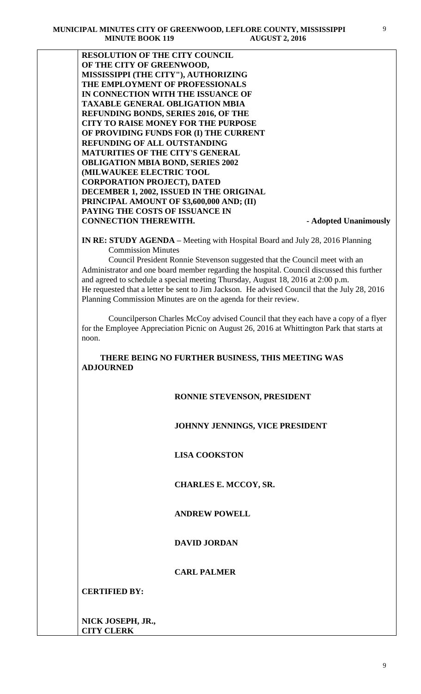**RESOLUTION OF THE CITY COUNCIL OF THE CITY OF GREENWOOD, MISSISSIPPI (THE CITY"), AUTHORIZING THE EMPLOYMENT OF PROFESSIONALS IN CONNECTION WITH THE ISSUANCE OF TAXABLE GENERAL OBLIGATION MBIA REFUNDING BONDS, SERIES 2016, OF THE CITY TO RAISE MONEY FOR THE PURPOSE OF PROVIDING FUNDS FOR (I) THE CURRENT REFUNDING OF ALL OUTSTANDING MATURITIES OF THE CITY'S GENERAL OBLIGATION MBIA BOND, SERIES 2002 (MILWAUKEE ELECTRIC TOOL CORPORATION PROJECT), DATED DECEMBER 1, 2002, ISSUED IN THE ORIGINAL PRINCIPAL AMOUNT OF \$3,600,000 AND; (II) PAYING THE COSTS OF ISSUANCE IN CONNECTION THEREWITH. - Adopted Unanimously**

**IN RE: STUDY AGENDA –** Meeting with Hospital Board and July 28, 2016 Planning Commission Minutes

Council President Ronnie Stevenson suggested that the Council meet with an Administrator and one board member regarding the hospital. Council discussed this further and agreed to schedule a special meeting Thursday, August 18, 2016 at 2:00 p.m. He requested that a letter be sent to Jim Jackson. He advised Council that the July 28, 2016 Planning Commission Minutes are on the agenda for their review.

 Councilperson Charles McCoy advised Council that they each have a copy of a flyer for the Employee Appreciation Picnic on August 26, 2016 at Whittington Park that starts at noon.

 **THERE BEING NO FURTHER BUSINESS, THIS MEETING WAS ADJOURNED** 

### **RONNIE STEVENSON, PRESIDENT**

# **JOHNNY JENNINGS, VICE PRESIDENT**

 **LISA COOKSTON**

# **CHARLES E. MCCOY, SR.**

### **ANDREW POWELL**

### **DAVID JORDAN**

### **CARL PALMER**

**CERTIFIED BY:**

**NICK JOSEPH, JR., CITY CLERK**